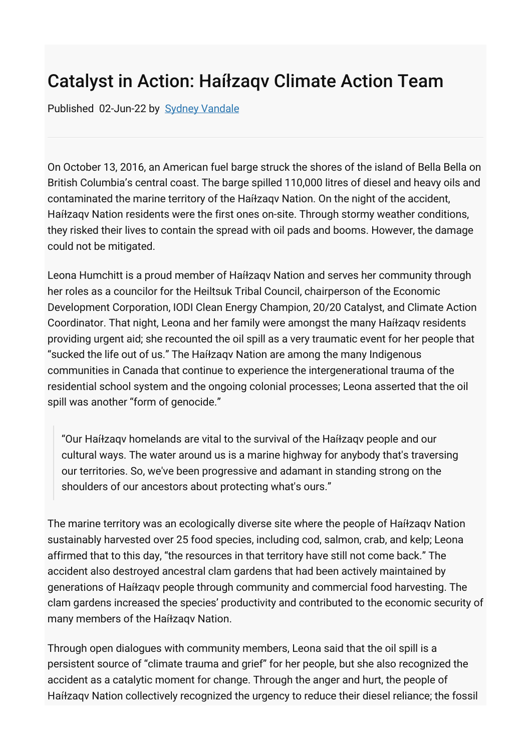## Catalyst in Action: Haíłzaqv Climate Action Team

Published 02-Jun-22 by [Sydney Vandale](https://icenet.work/people/svandale)

On October 13, 2016, an American fuel barge struck the shores of the island of Bella Bella on British Columbia's central coast. The barge spilled 110,000 litres of diesel and heavy oils and contaminated the marine territory of the Haíɫzaqv Nation. On the night of the accident, Haíɫzaqv Nation residents were the first ones on-site. Through stormy weather conditions, they risked their lives to contain the spread with oil pads and booms. However, the damage could not be mitigated.

Leona Humchitt is a proud member of Haíɫzaqv Nation and serves her community through her roles as a councilor for the Heiltsuk Tribal Council, chairperson of the Economic Development Corporation, IODI Clean Energy Champion, 20/20 Catalyst, and Climate Action Coordinator. That night, Leona and her family were amongst the many Haíɫzaqv residents providing urgent aid; she recounted the oil spill as a very traumatic event for her people that "sucked the life out of us." The Haíɫzaqv Nation are among the many Indigenous communities in Canada that continue to experience the intergenerational trauma of the residential school system and the ongoing colonial processes; Leona asserted that the oil spill was another "form of genocide."

"Our Haíɫzaqv homelands are vital to the survival of the Haíɫzaqv people and our cultural ways. The water around us is a marine highway for anybody that's traversing our territories. So, we've been progressive and adamant in standing strong on the shoulders of our ancestors about protecting what's ours."

The marine territory was an ecologically diverse site where the people of Haíɫzaqv Nation sustainably harvested over 25 food species, including cod, salmon, crab, and kelp; Leona affirmed that to this day, "the resources in that territory have still not come back." The accident also destroyed ancestral clam gardens that had been actively maintained by generations of Haíɫzaqv people through community and commercial food harvesting. The clam gardens increased the species' productivity and contributed to the economic security of many members of the Haíłzaqv Nation.

Through open dialogues with community members, Leona said that the oil spill is a persistent source of "climate trauma and grief" for her people, but she also recognized the accident as a catalytic moment for change. Through the anger and hurt, the people of Haíɫzaqv Nation collectively recognized the urgency to reduce their diesel reliance; the fossil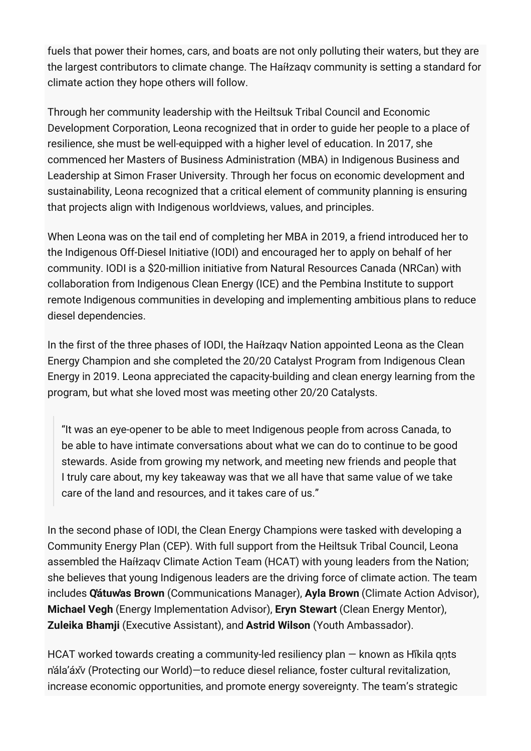fuels that power their homes, cars, and boats are not only polluting their waters, but they are the largest contributors to climate change. The Haíɫzaqv community is setting a standard for climate action they hope others will follow.

Through her community leadership with the Heiltsuk Tribal Council and Economic Development Corporation, Leona recognized that in order to guide her people to a place of resilience, she must be well-equipped with a higher level of education. In 2017, she commenced her Masters of Business Administration (MBA) in Indigenous Business and Leadership at Simon Fraser University. Through her focus on economic development and sustainability, Leona recognized that a critical element of community planning is ensuring that projects align with Indigenous worldviews, values, and principles.

When Leona was on the tail end of completing her MBA in 2019, a friend introduced her to the Indigenous Off-Diesel Initiative (IODI) and encouraged her to apply on behalf of her community. IODI is a \$20-million initiative from Natural Resources Canada (NRCan) with collaboration from Indigenous Clean Energy (ICE) and the Pembina Institute to support remote Indigenous communities in developing and implementing ambitious plans to reduce diesel dependencies.

In the first of the three phases of IODI, the Haíɫzaqv Nation appointed Leona as the Clean Energy Champion and she completed the 20/20 Catalyst Program from Indigenous Clean Energy in 2019. Leona appreciated the capacity-building and clean energy learning from the program, but what she loved most was meeting other 20/20 Catalysts.

"It was an eye-opener to be able to meet Indigenous people from across Canada, to be able to have intimate conversations about what we can do to continue to be good stewards. Aside from growing my network, and meeting new friends and people that I truly care about, my key takeaway was that we all have that same value of we take care of the land and resources, and it takes care of us."

In the second phase of IODI, the Clean Energy Champions were tasked with developing a Community Energy Plan (CEP). With full support from the Heiltsuk Tribal Council, Leona assembled the Haíɫzaqv Climate Action Team (HCAT) with young leaders from the Nation; she believes that young Indigenous leaders are the driving force of climate action. The team includes **Q̓átuw̓as Brown** (Communications Manager), **Ayla Brown** (Climate Action Advisor), **Michael Vegh** (Energy Implementation Advisor), **Eryn Stewart** (Clean Energy Mentor), **Zuleika Bhamji** (Executive Assistant), and **Astrid Wilson** (Youth Ambassador).

HCAT worked towards creating a community-led resiliency plan — known as H̓íkila qṇts n̓ála'áx̌v (Protecting our World)—to reduce diesel reliance, foster cultural revitalization, increase economic opportunities, and promote energy sovereignty. The team's strategic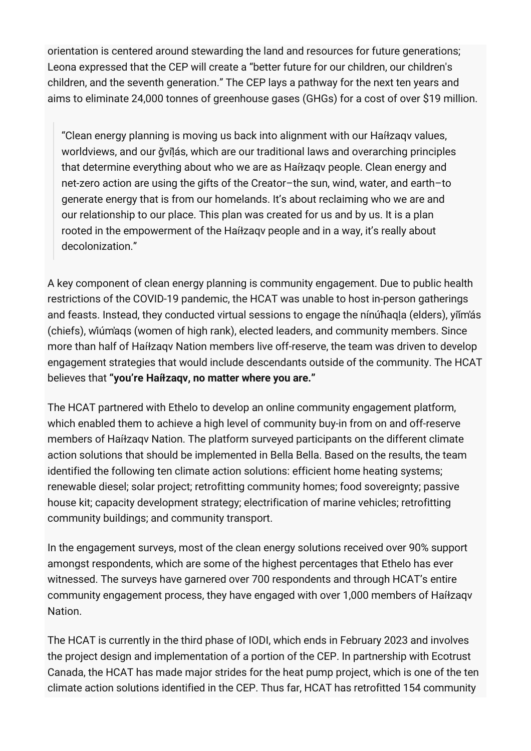orientation is centered around stewarding the land and resources for future generations; Leona expressed that the CEP will create a "better future for our children, our children's children, and the seventh generation." The CEP lays a pathway for the next ten years and aims to eliminate 24,000 tonnes of greenhouse gases (GHGs) for a cost of over \$19 million.

"Clean energy planning is moving us back into alignment with our Haíɫzaqv values, worldviews, and our ǧvilás, which are our traditional laws and overarching principles that determine everything about who we are as Haíɫzaqv people. Clean energy and net-zero action are using the gifts of the Creator–the sun, wind, water, and earth–to generate energy that is from our homelands. It's about reclaiming who we are and our relationship to our place. This plan was created for us and by us. It is a plan rooted in the empowerment of the Haíɫzaqv people and in a way, it's really about decolonization."

A key component of clean energy planning is community engagement. Due to public health restrictions of the COVID-19 pandemic, the HCAT was unable to host in-person gatherings and feasts. Instead, they conducted virtual sessions to engage the nínúħaqḷa (elders), yi̓ím̓ás (chiefs), w̓iúm̓aqs (women of high rank), elected leaders, and community members. Since more than half of Haíɫzaqv Nation members live off-reserve, the team was driven to develop engagement strategies that would include descendants outside of the community. The HCAT believes that **"you're Haíɫzaqv, no matter where you are."**

The HCAT partnered with Ethelo to develop an online community engagement platform, which enabled them to achieve a high level of community buy-in from on and off-reserve members of Haíɫzaqv Nation. The platform surveyed participants on the different climate action solutions that should be implemented in Bella Bella. Based on the results, the team identified the following ten climate action solutions: efficient home heating systems; renewable diesel; solar project; retrofitting community homes; food sovereignty; passive house kit; capacity development strategy; electrification of marine vehicles; retrofitting community buildings; and community transport.

In the engagement surveys, most of the clean energy solutions received over 90% support amongst respondents, which are some of the highest percentages that Ethelo has ever witnessed. The surveys have garnered over 700 respondents and through HCAT's entire community engagement process, they have engaged with over 1,000 members of Haíɫzaqv Nation.

The HCAT is currently in the third phase of IODI, which ends in February 2023 and involves the project design and implementation of a portion of the CEP. In partnership with Ecotrust Canada, the HCAT has made major strides for the heat pump project, which is one of the ten climate action solutions identified in the CEP. Thus far, HCAT has retrofitted 154 community